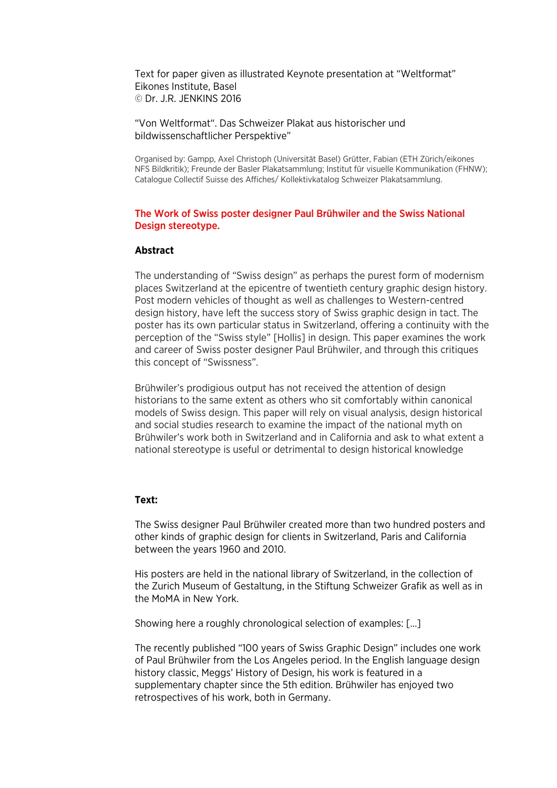Text for paper given as illustrated Keynote presentation at "Weltformat" Eikones Institute, Basel © Dr. J.R. JENKINS 2016

"Von Weltformat". Das Schweizer Plakat aus historischer und bildwissenschaftlicher Perspektive"

Organised by: Gampp, Axel Christoph (Universität Basel) Grütter, Fabian (ETH Zürich/eikones NFS Bildkritik); Freunde der Basler Plakatsammlung; Institut für visuelle Kommunikation (FHNW); Catalogue Collectif Suisse des Affiches/ Kollektivkatalog Schweizer Plakatsammlung.

# The Work of Swiss poster designer Paul Brühwiler and the Swiss National Design stereotype.

## **Abstract**

The understanding of "Swiss design" as perhaps the purest form of modernism places Switzerland at the epicentre of twentieth century graphic design history. Post modern vehicles of thought as well as challenges to Western-centred design history, have left the success story of Swiss graphic design in tact. The poster has its own particular status in Switzerland, offering a continuity with the perception of the "Swiss style" [Hollis] in design. This paper examines the work and career of Swiss poster designer Paul Brühwiler, and through this critiques this concept of "Swissness".

Brühwiler's prodigious output has not received the attention of design historians to the same extent as others who sit comfortably within canonical models of Swiss design. This paper will rely on visual analysis, design historical and social studies research to examine the impact of the national myth on Brühwiler's work both in Switzerland and in California and ask to what extent a national stereotype is useful or detrimental to design historical knowledge

### **Text:**

The Swiss designer Paul Brühwiler created more than two hundred posters and other kinds of graphic design for clients in Switzerland, Paris and California between the years 1960 and 2010.

His posters are held in the national library of Switzerland, in the collection of the Zurich Museum of Gestaltung, in the Stiftung Schweizer Grafik as well as in the MoMA in New York.

Showing here a roughly chronological selection of examples: […]

The recently published "100 years of Swiss Graphic Design" includes one work of Paul Brühwiler from the Los Angeles period. In the English language design history classic, Meggs' History of Design, his work is featured in a supplementary chapter since the 5th edition. Brühwiler has enjoyed two retrospectives of his work, both in Germany.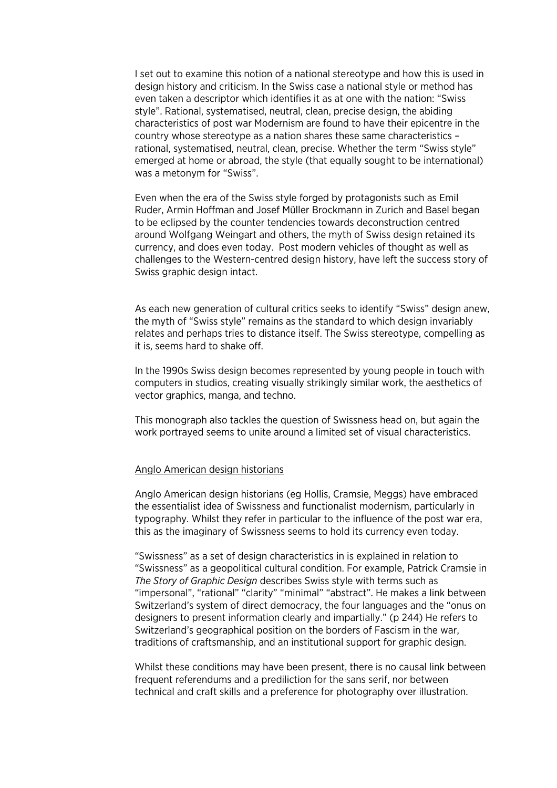I set out to examine this notion of a national stereotype and how this is used in design history and criticism. In the Swiss case a national style or method has even taken a descriptor which identifies it as at one with the nation: "Swiss style". Rational, systematised, neutral, clean, precise design, the abiding characteristics of post war Modernism are found to have their epicentre in the country whose stereotype as a nation shares these same characteristics – rational, systematised, neutral, clean, precise. Whether the term "Swiss style" emerged at home or abroad, the style (that equally sought to be international) was a metonym for "Swiss".

Even when the era of the Swiss style forged by protagonists such as Emil Ruder, Armin Hoffman and Josef Müller Brockmann in Zurich and Basel began to be eclipsed by the counter tendencies towards deconstruction centred around Wolfgang Weingart and others, the myth of Swiss design retained its currency, and does even today. Post modern vehicles of thought as well as challenges to the Western-centred design history, have left the success story of Swiss graphic design intact.

As each new generation of cultural critics seeks to identify "Swiss" design anew, the myth of "Swiss style" remains as the standard to which design invariably relates and perhaps tries to distance itself. The Swiss stereotype, compelling as it is, seems hard to shake off.

In the 1990s Swiss design becomes represented by young people in touch with computers in studios, creating visually strikingly similar work, the aesthetics of vector graphics, manga, and techno.

This monograph also tackles the question of Swissness head on, but again the work portrayed seems to unite around a limited set of visual characteristics.

#### Anglo American design historians

Anglo American design historians (eg Hollis, Cramsie, Meggs) have embraced the essentialist idea of Swissness and functionalist modernism, particularly in typography. Whilst they refer in particular to the influence of the post war era, this as the imaginary of Swissness seems to hold its currency even today.

"Swissness" as a set of design characteristics in is explained in relation to "Swissness" as a geopolitical cultural condition. For example, Patrick Cramsie in *The Story of Graphic Design* describes Swiss style with terms such as "impersonal", "rational" "clarity" "minimal" "abstract". He makes a link between Switzerland's system of direct democracy, the four languages and the "onus on designers to present information clearly and impartially." (p 244) He refers to Switzerland's geographical position on the borders of Fascism in the war, traditions of craftsmanship, and an institutional support for graphic design.

Whilst these conditions may have been present, there is no causal link between frequent referendums and a prediliction for the sans serif, nor between technical and craft skills and a preference for photography over illustration.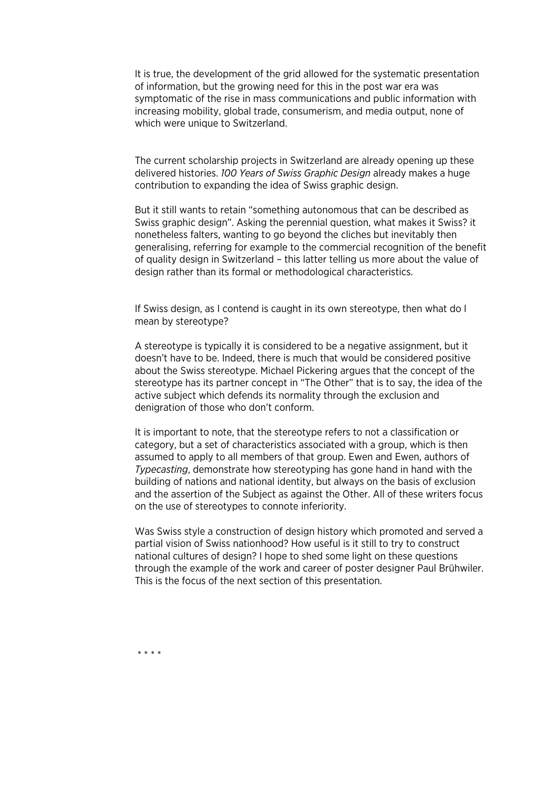It is true, the development of the grid allowed for the systematic presentation of information, but the growing need for this in the post war era was symptomatic of the rise in mass communications and public information with increasing mobility, global trade, consumerism, and media output, none of which were unique to Switzerland.

The current scholarship projects in Switzerland are already opening up these delivered histories. *100 Years of Swiss Graphic Design* already makes a huge contribution to expanding the idea of Swiss graphic design.

But it still wants to retain "something autonomous that can be described as Swiss graphic design". Asking the perennial question, what makes it Swiss? it nonetheless falters, wanting to go beyond the cliches but inevitably then generalising, referring for example to the commercial recognition of the benefit of quality design in Switzerland – this latter telling us more about the value of design rather than its formal or methodological characteristics.

If Swiss design, as I contend is caught in its own stereotype, then what do I mean by stereotype?

A stereotype is typically it is considered to be a negative assignment, but it doesn't have to be. Indeed, there is much that would be considered positive about the Swiss stereotype. Michael Pickering argues that the concept of the stereotype has its partner concept in "The Other" that is to say, the idea of the active subject which defends its normality through the exclusion and denigration of those who don't conform.

It is important to note, that the stereotype refers to not a classification or category, but a set of characteristics associated with a group, which is then assumed to apply to all members of that group. Ewen and Ewen, authors of *Typecasting*, demonstrate how stereotyping has gone hand in hand with the building of nations and national identity, but always on the basis of exclusion and the assertion of the Subject as against the Other. All of these writers focus on the use of stereotypes to connote inferiority.

Was Swiss style a construction of design history which promoted and served a partial vision of Swiss nationhood? How useful is it still to try to construct national cultures of design? I hope to shed some light on these questions through the example of the work and career of poster designer Paul Brühwiler. This is the focus of the next section of this presentation.

\* \* \* \*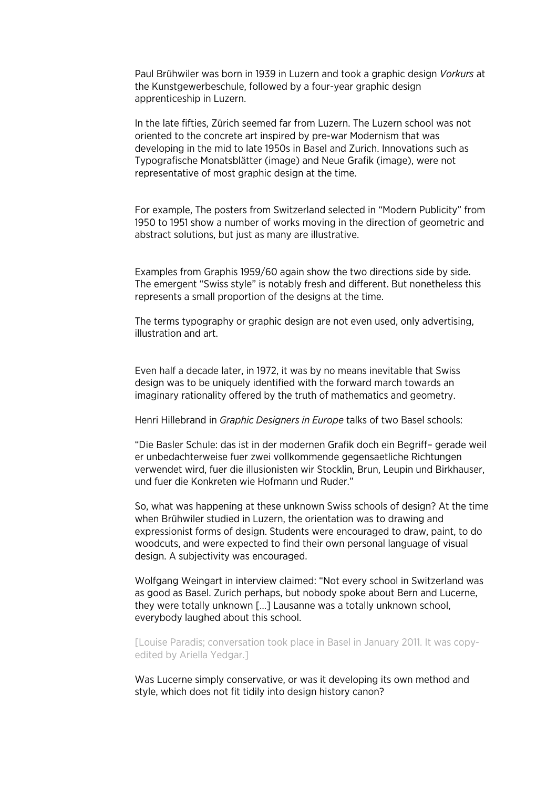Paul Brühwiler was born in 1939 in Luzern and took a graphic design *Vorkurs* at the Kunstgewerbeschule, followed by a four-year graphic design apprenticeship in Luzern.

In the late fifties, Zürich seemed far from Luzern. The Luzern school was not oriented to the concrete art inspired by pre-war Modernism that was developing in the mid to late 1950s in Basel and Zurich. Innovations such as Typografische Monatsblätter (image) and Neue Grafik (image), were not representative of most graphic design at the time.

For example, The posters from Switzerland selected in "Modern Publicity" from 1950 to 1951 show a number of works moving in the direction of geometric and abstract solutions, but just as many are illustrative.

Examples from Graphis 1959/60 again show the two directions side by side. The emergent "Swiss style" is notably fresh and different. But nonetheless this represents a small proportion of the designs at the time.

The terms typography or graphic design are not even used, only advertising, illustration and art.

Even half a decade later, in 1972, it was by no means inevitable that Swiss design was to be uniquely identified with the forward march towards an imaginary rationality offered by the truth of mathematics and geometry.

Henri Hillebrand in *Graphic Designers in Europe* talks of two Basel schools:

"Die Basler Schule: das ist in der modernen Grafik doch ein Begriff– gerade weil er unbedachterweise fuer zwei vollkommende gegensaetliche Richtungen verwendet wird, fuer die illusionisten wir Stocklin, Brun, Leupin und Birkhauser, und fuer die Konkreten wie Hofmann und Ruder."

So, what was happening at these unknown Swiss schools of design? At the time when Brühwiler studied in Luzern, the orientation was to drawing and expressionist forms of design. Students were encouraged to draw, paint, to do woodcuts, and were expected to find their own personal language of visual design. A subjectivity was encouraged.

Wolfgang Weingart in interview claimed: "Not every school in Switzerland was as good as Basel. Zurich perhaps, but nobody spoke about Bern and Lucerne, they were totally unknown […] Lausanne was a totally unknown school, everybody laughed about this school.

[Louise Paradis; conversation took place in Basel in January 2011. It was copyedited by Ariella Yedgar.]

Was Lucerne simply conservative, or was it developing its own method and style, which does not fit tidily into design history canon?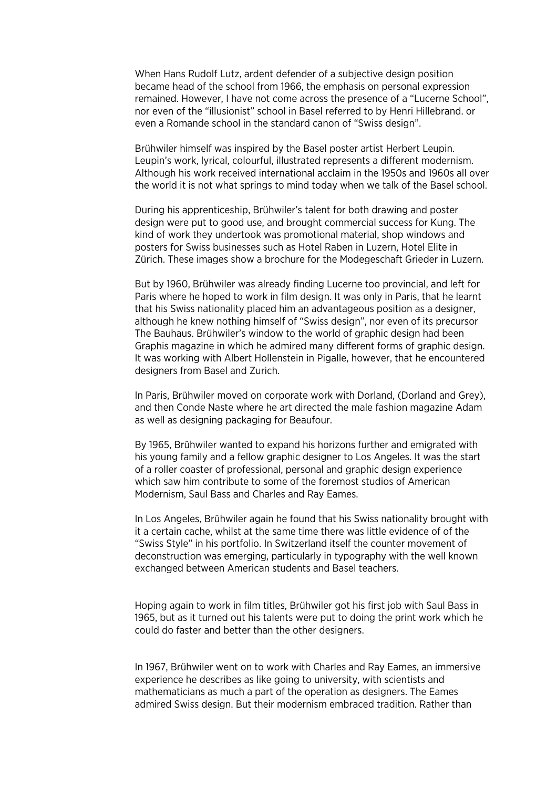When Hans Rudolf Lutz, ardent defender of a subjective design position became head of the school from 1966, the emphasis on personal expression remained. However, I have not come across the presence of a "Lucerne School", nor even of the "illusionist" school in Basel referred to by Henri Hillebrand. or even a Romande school in the standard canon of "Swiss design".

Brühwiler himself was inspired by the Basel poster artist Herbert Leupin. Leupin's work, lyrical, colourful, illustrated represents a different modernism. Although his work received international acclaim in the 1950s and 1960s all over the world it is not what springs to mind today when we talk of the Basel school.

During his apprenticeship, Brühwiler's talent for both drawing and poster design were put to good use, and brought commercial success for Kung. The kind of work they undertook was promotional material, shop windows and posters for Swiss businesses such as Hotel Raben in Luzern, Hotel Elite in Zürich. These images show a brochure for the Modegeschaft Grieder in Luzern.

But by 1960, Brühwiler was already finding Lucerne too provincial, and left for Paris where he hoped to work in film design. It was only in Paris, that he learnt that his Swiss nationality placed him an advantageous position as a designer, although he knew nothing himself of "Swiss design", nor even of its precursor The Bauhaus. Brühwiler's window to the world of graphic design had been Graphis magazine in which he admired many different forms of graphic design. It was working with Albert Hollenstein in Pigalle, however, that he encountered designers from Basel and Zurich.

In Paris, Brühwiler moved on corporate work with Dorland, (Dorland and Grey), and then Conde Naste where he art directed the male fashion magazine Adam as well as designing packaging for Beaufour.

By 1965, Brühwiler wanted to expand his horizons further and emigrated with his young family and a fellow graphic designer to Los Angeles. It was the start of a roller coaster of professional, personal and graphic design experience which saw him contribute to some of the foremost studios of American Modernism, Saul Bass and Charles and Ray Eames.

In Los Angeles, Brühwiler again he found that his Swiss nationality brought with it a certain cache, whilst at the same time there was little evidence of of the "Swiss Style" in his portfolio. In Switzerland itself the counter movement of deconstruction was emerging, particularly in typography with the well known exchanged between American students and Basel teachers.

Hoping again to work in film titles, Brühwiler got his first job with Saul Bass in 1965, but as it turned out his talents were put to doing the print work which he could do faster and better than the other designers.

In 1967, Brühwiler went on to work with Charles and Ray Eames, an immersive experience he describes as like going to university, with scientists and mathematicians as much a part of the operation as designers. The Eames admired Swiss design. But their modernism embraced tradition. Rather than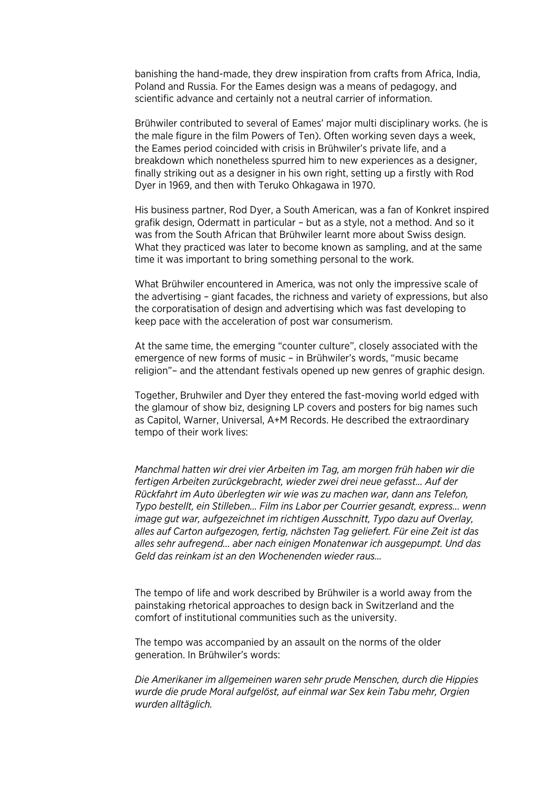banishing the hand-made, they drew inspiration from crafts from Africa, India, Poland and Russia. For the Eames design was a means of pedagogy, and scientific advance and certainly not a neutral carrier of information.

Brühwiler contributed to several of Eames' major multi disciplinary works. (he is the male figure in the film Powers of Ten). Often working seven days a week, the Eames period coincided with crisis in Brühwiler's private life, and a breakdown which nonetheless spurred him to new experiences as a designer, finally striking out as a designer in his own right, setting up a firstly with Rod Dyer in 1969, and then with Teruko Ohkagawa in 1970.

His business partner, Rod Dyer, a South American, was a fan of Konkret inspired grafik design, Odermatt in particular – but as a style, not a method. And so it was from the South African that Brühwiler learnt more about Swiss design. What they practiced was later to become known as sampling, and at the same time it was important to bring something personal to the work.

What Brühwiler encountered in America, was not only the impressive scale of the advertising – giant facades, the richness and variety of expressions, but also the corporatisation of design and advertising which was fast developing to keep pace with the acceleration of post war consumerism.

At the same time, the emerging "counter culture", closely associated with the emergence of new forms of music – in Brühwiler's words, "music became religion"– and the attendant festivals opened up new genres of graphic design.

Together, Bruhwiler and Dyer they entered the fast-moving world edged with the glamour of show biz, designing LP covers and posters for big names such as Capitol, Warner, Universal, A+M Records. He described the extraordinary tempo of their work lives:

*Manchmal hatten wir drei vier Arbeiten im Tag, am morgen früh haben wir die fertigen Arbeiten zurückgebracht, wieder zwei drei neue gefasst… Auf der Rückfahrt im Auto überlegten wir wie was zu machen war, dann ans Telefon, Typo bestellt, ein Stilleben… Film ins Labor per Courrier gesandt, express... wenn image gut war, aufgezeichnet im richtigen Ausschnitt, Typo dazu auf Overlay, alles auf Carton aufgezogen, fertig, nächsten Tag geliefert. Für eine Zeit ist das alles sehr aufregend... aber nach einigen Monatenwar ich ausgepumpt. Und das Geld das reinkam ist an den Wochenenden wieder raus…*

The tempo of life and work described by Brühwiler is a world away from the painstaking rhetorical approaches to design back in Switzerland and the comfort of institutional communities such as the university.

The tempo was accompanied by an assault on the norms of the older generation. In Brühwiler's words:

*Die Amerikaner im allgemeinen waren sehr prude Menschen, durch die Hippies wurde die prude Moral aufgelöst, auf einmal war Sex kein Tabu mehr, Orgien wurden alltäglich.*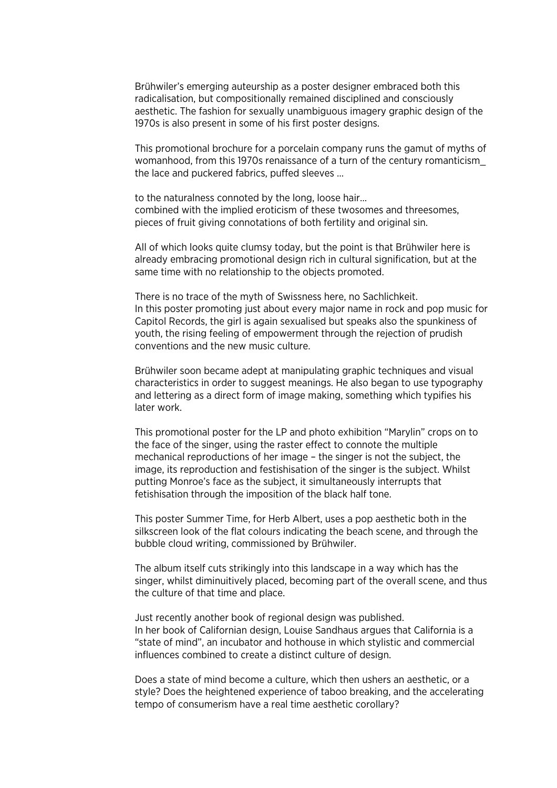Brühwiler's emerging auteurship as a poster designer embraced both this radicalisation, but compositionally remained disciplined and consciously aesthetic. The fashion for sexually unambiguous imagery graphic design of the 1970s is also present in some of his first poster designs.

This promotional brochure for a porcelain company runs the gamut of myths of womanhood, from this 1970s renaissance of a turn of the century romanticism\_ the lace and puckered fabrics, puffed sleeves …

to the naturalness connoted by the long, loose hair… combined with the implied eroticism of these twosomes and threesomes, pieces of fruit giving connotations of both fertility and original sin.

All of which looks quite clumsy today, but the point is that Brühwiler here is already embracing promotional design rich in cultural signification, but at the same time with no relationship to the objects promoted.

There is no trace of the myth of Swissness here, no Sachlichkeit. In this poster promoting just about every major name in rock and pop music for Capitol Records, the girl is again sexualised but speaks also the spunkiness of youth, the rising feeling of empowerment through the rejection of prudish conventions and the new music culture.

Brühwiler soon became adept at manipulating graphic techniques and visual characteristics in order to suggest meanings. He also began to use typography and lettering as a direct form of image making, something which typifies his later work.

This promotional poster for the LP and photo exhibition "Marylin" crops on to the face of the singer, using the raster effect to connote the multiple mechanical reproductions of her image – the singer is not the subject, the image, its reproduction and festishisation of the singer is the subject. Whilst putting Monroe's face as the subject, it simultaneously interrupts that fetishisation through the imposition of the black half tone.

This poster Summer Time, for Herb Albert, uses a pop aesthetic both in the silkscreen look of the flat colours indicating the beach scene, and through the bubble cloud writing, commissioned by Brühwiler.

The album itself cuts strikingly into this landscape in a way which has the singer, whilst diminuitively placed, becoming part of the overall scene, and thus the culture of that time and place.

Just recently another book of regional design was published. In her book of Californian design, Louise Sandhaus argues that California is a "state of mind", an incubator and hothouse in which stylistic and commercial influences combined to create a distinct culture of design.

Does a state of mind become a culture, which then ushers an aesthetic, or a style? Does the heightened experience of taboo breaking, and the accelerating tempo of consumerism have a real time aesthetic corollary?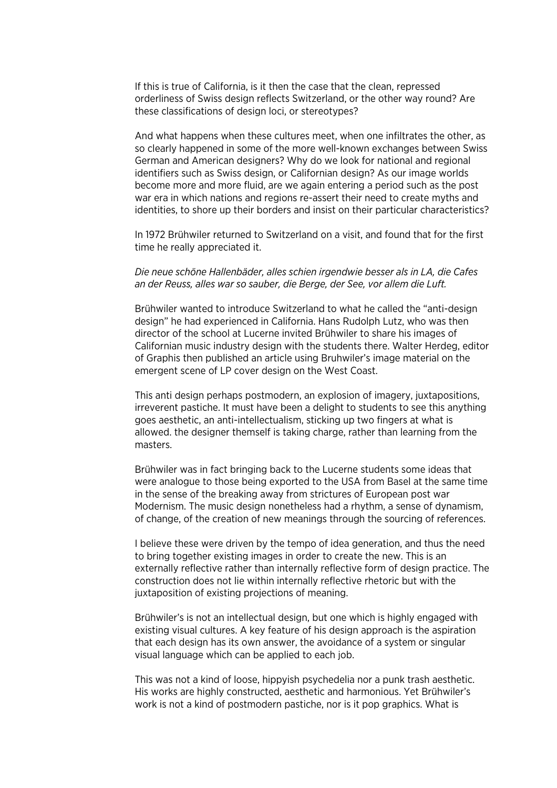If this is true of California, is it then the case that the clean, repressed orderliness of Swiss design reflects Switzerland, or the other way round? Are these classifications of design loci, or stereotypes?

And what happens when these cultures meet, when one infiltrates the other, as so clearly happened in some of the more well-known exchanges between Swiss German and American designers? Why do we look for national and regional identifiers such as Swiss design, or Californian design? As our image worlds become more and more fluid, are we again entering a period such as the post war era in which nations and regions re-assert their need to create myths and identities, to shore up their borders and insist on their particular characteristics?

In 1972 Brühwiler returned to Switzerland on a visit, and found that for the first time he really appreciated it.

*Die neue schöne Hallenbäder, alles schien irgendwie besser als in LA, die Cafes an der Reuss, alles war so sauber, die Berge, der See, vor allem die Luft.*

Brühwiler wanted to introduce Switzerland to what he called the "anti-design design" he had experienced in California. Hans Rudolph Lutz, who was then director of the school at Lucerne invited Brühwiler to share his images of Californian music industry design with the students there. Walter Herdeg, editor of Graphis then published an article using Bruhwiler's image material on the emergent scene of LP cover design on the West Coast.

This anti design perhaps postmodern, an explosion of imagery, juxtapositions, irreverent pastiche. It must have been a delight to students to see this anything goes aesthetic, an anti-intellectualism, sticking up two fingers at what is allowed. the designer themself is taking charge, rather than learning from the masters.

Brühwiler was in fact bringing back to the Lucerne students some ideas that were analogue to those being exported to the USA from Basel at the same time in the sense of the breaking away from strictures of European post war Modernism. The music design nonetheless had a rhythm, a sense of dynamism, of change, of the creation of new meanings through the sourcing of references.

I believe these were driven by the tempo of idea generation, and thus the need to bring together existing images in order to create the new. This is an externally reflective rather than internally reflective form of design practice. The construction does not lie within internally reflective rhetoric but with the juxtaposition of existing projections of meaning.

Brühwiler's is not an intellectual design, but one which is highly engaged with existing visual cultures. A key feature of his design approach is the aspiration that each design has its own answer, the avoidance of a system or singular visual language which can be applied to each job.

This was not a kind of loose, hippyish psychedelia nor a punk trash aesthetic. His works are highly constructed, aesthetic and harmonious. Yet Brühwiler's work is not a kind of postmodern pastiche, nor is it pop graphics. What is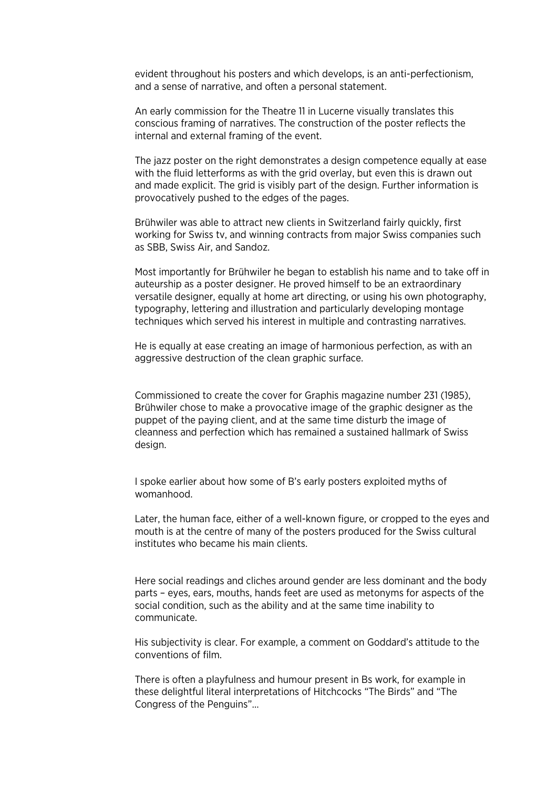evident throughout his posters and which develops, is an anti-perfectionism, and a sense of narrative, and often a personal statement.

An early commission for the Theatre 11 in Lucerne visually translates this conscious framing of narratives. The construction of the poster reflects the internal and external framing of the event.

The jazz poster on the right demonstrates a design competence equally at ease with the fluid letterforms as with the grid overlay, but even this is drawn out and made explicit. The grid is visibly part of the design. Further information is provocatively pushed to the edges of the pages.

Brühwiler was able to attract new clients in Switzerland fairly quickly, first working for Swiss tv, and winning contracts from major Swiss companies such as SBB, Swiss Air, and Sandoz.

Most importantly for Brühwiler he began to establish his name and to take off in auteurship as a poster designer. He proved himself to be an extraordinary versatile designer, equally at home art directing, or using his own photography, typography, lettering and illustration and particularly developing montage techniques which served his interest in multiple and contrasting narratives.

He is equally at ease creating an image of harmonious perfection, as with an aggressive destruction of the clean graphic surface.

Commissioned to create the cover for Graphis magazine number 231 (1985), Brühwiler chose to make a provocative image of the graphic designer as the puppet of the paying client, and at the same time disturb the image of cleanness and perfection which has remained a sustained hallmark of Swiss design.

I spoke earlier about how some of B's early posters exploited myths of womanhood.

Later, the human face, either of a well-known figure, or cropped to the eyes and mouth is at the centre of many of the posters produced for the Swiss cultural institutes who became his main clients.

Here social readings and cliches around gender are less dominant and the body parts – eyes, ears, mouths, hands feet are used as metonyms for aspects of the social condition, such as the ability and at the same time inability to communicate.

His subjectivity is clear. For example, a comment on Goddard's attitude to the conventions of film.

There is often a playfulness and humour present in Bs work, for example in these delightful literal interpretations of Hitchcocks "The Birds" and "The Congress of the Penguins"…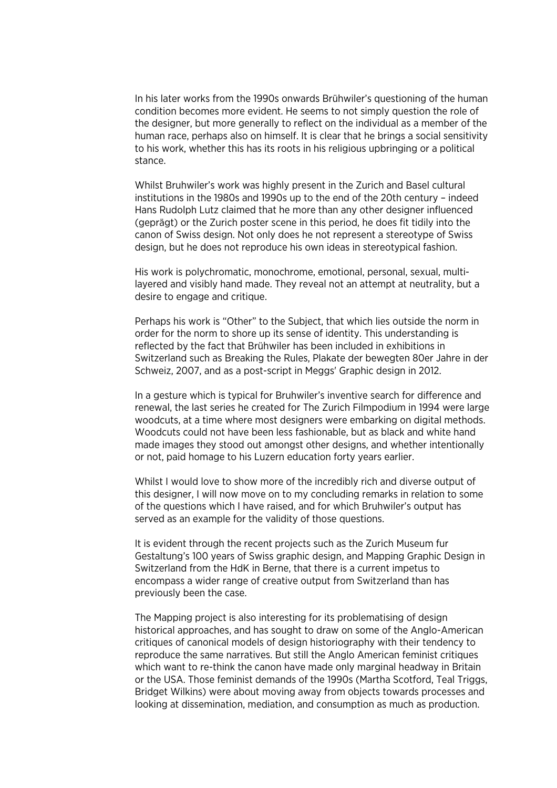In his later works from the 1990s onwards Brühwiler's questioning of the human condition becomes more evident. He seems to not simply question the role of the designer, but more generally to reflect on the individual as a member of the human race, perhaps also on himself. It is clear that he brings a social sensitivity to his work, whether this has its roots in his religious upbringing or a political stance.

Whilst Bruhwiler's work was highly present in the Zurich and Basel cultural institutions in the 1980s and 1990s up to the end of the 20th century – indeed Hans Rudolph Lutz claimed that he more than any other designer influenced (geprägt) or the Zurich poster scene in this period, he does fit tidily into the canon of Swiss design. Not only does he not represent a stereotype of Swiss design, but he does not reproduce his own ideas in stereotypical fashion.

His work is polychromatic, monochrome, emotional, personal, sexual, multilayered and visibly hand made. They reveal not an attempt at neutrality, but a desire to engage and critique.

Perhaps his work is "Other" to the Subject, that which lies outside the norm in order for the norm to shore up its sense of identity. This understanding is reflected by the fact that Brühwiler has been included in exhibitions in Switzerland such as Breaking the Rules, Plakate der bewegten 80er Jahre in der Schweiz, 2007, and as a post-script in Meggs' Graphic design in 2012.

In a gesture which is typical for Bruhwiler's inventive search for difference and renewal, the last series he created for The Zurich Filmpodium in 1994 were large woodcuts, at a time where most designers were embarking on digital methods. Woodcuts could not have been less fashionable, but as black and white hand made images they stood out amongst other designs, and whether intentionally or not, paid homage to his Luzern education forty years earlier.

Whilst I would love to show more of the incredibly rich and diverse output of this designer, I will now move on to my concluding remarks in relation to some of the questions which I have raised, and for which Bruhwiler's output has served as an example for the validity of those questions.

It is evident through the recent projects such as the Zurich Museum fur Gestaltung's 100 years of Swiss graphic design, and Mapping Graphic Design in Switzerland from the HdK in Berne, that there is a current impetus to encompass a wider range of creative output from Switzerland than has previously been the case.

The Mapping project is also interesting for its problematising of design historical approaches, and has sought to draw on some of the Anglo-American critiques of canonical models of design historiography with their tendency to reproduce the same narratives. But still the Anglo American feminist critiques which want to re-think the canon have made only marginal headway in Britain or the USA. Those feminist demands of the 1990s (Martha Scotford, Teal Triggs, Bridget Wilkins) were about moving away from objects towards processes and looking at dissemination, mediation, and consumption as much as production.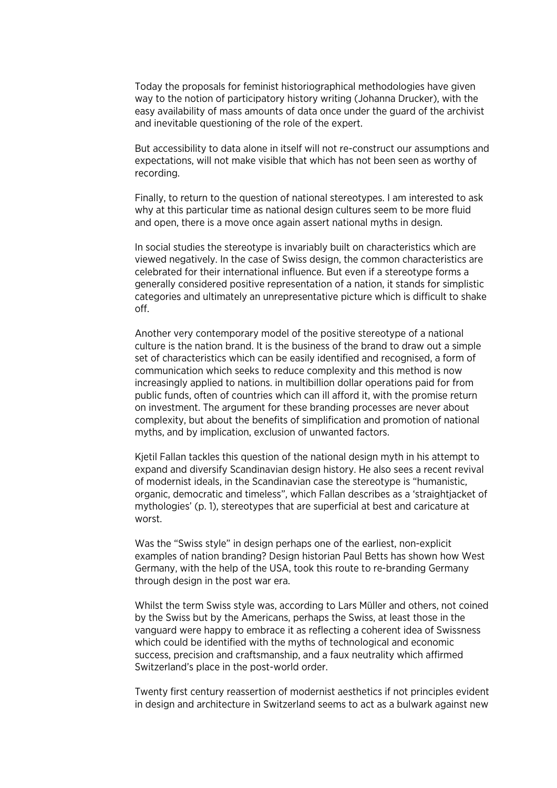Today the proposals for feminist historiographical methodologies have given way to the notion of participatory history writing (Johanna Drucker), with the easy availability of mass amounts of data once under the guard of the archivist and inevitable questioning of the role of the expert.

But accessibility to data alone in itself will not re-construct our assumptions and expectations, will not make visible that which has not been seen as worthy of recording.

Finally, to return to the question of national stereotypes. I am interested to ask why at this particular time as national design cultures seem to be more fluid and open, there is a move once again assert national myths in design.

In social studies the stereotype is invariably built on characteristics which are viewed negatively. In the case of Swiss design, the common characteristics are celebrated for their international influence. But even if a stereotype forms a generally considered positive representation of a nation, it stands for simplistic categories and ultimately an unrepresentative picture which is difficult to shake off.

Another very contemporary model of the positive stereotype of a national culture is the nation brand. It is the business of the brand to draw out a simple set of characteristics which can be easily identified and recognised, a form of communication which seeks to reduce complexity and this method is now increasingly applied to nations. in multibillion dollar operations paid for from public funds, often of countries which can ill afford it, with the promise return on investment. The argument for these branding processes are never about complexity, but about the benefits of simplification and promotion of national myths, and by implication, exclusion of unwanted factors.

Kjetil Fallan tackles this question of the national design myth in his attempt to expand and diversify Scandinavian design history. He also sees a recent revival of modernist ideals, in the Scandinavian case the stereotype is "humanistic, organic, democratic and timeless", which Fallan describes as a 'straightjacket of mythologies' (p. 1), stereotypes that are superficial at best and caricature at worst.

Was the "Swiss style" in design perhaps one of the earliest, non-explicit examples of nation branding? Design historian Paul Betts has shown how West Germany, with the help of the USA, took this route to re-branding Germany through design in the post war era.

Whilst the term Swiss style was, according to Lars Müller and others, not coined by the Swiss but by the Americans, perhaps the Swiss, at least those in the vanguard were happy to embrace it as reflecting a coherent idea of Swissness which could be identified with the myths of technological and economic success, precision and craftsmanship, and a faux neutrality which affirmed Switzerland's place in the post-world order.

Twenty first century reassertion of modernist aesthetics if not principles evident in design and architecture in Switzerland seems to act as a bulwark against new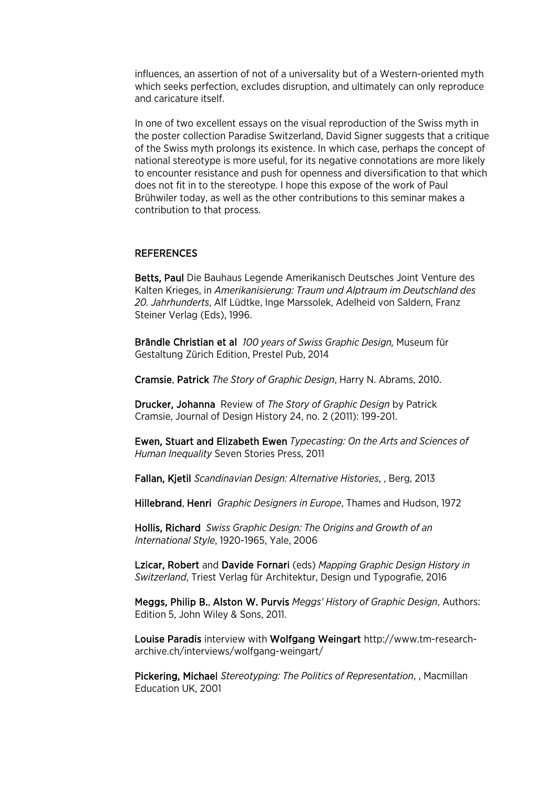influences, an assertion of not of a universality but of a Western-oriented myth which seeks perfection, excludes disruption, and ultimately can only reproduce and caricature itself.

In one of two excellent essays on the visual reproduction of the Swiss myth in the poster collection Paradise Switzerland, David Signer suggests that a critique of the Swiss myth prolongs its existence. In which case, perhaps the concept of national stereotype is more useful, for its negative connotations are more likely to encounter resistance and push for openness and diversification to that which does not fit in to the stereotype. I hope this expose of the work of Paul Brühwiler today, as well as the other contributions to this seminar makes a contribution to that process.

## REFERENCES

Betts, Paul Die Bauhaus Legende Amerikanisch Deutsches Joint Venture des Kalten Krieges, in *Amerikanisierung: Traum und Alptraum im Deutschland des 20. Jahrhunderts*, Alf Lüdtke, Inge Marssolek, Adelheid von Saldern, Franz Steiner Verlag (Eds), 1996.

Brändle Christian et al *100 years of Swiss Graphic Design,* Museum für Gestaltung Zürich Edition, Prestel Pub, 2014

Cramsie, Patrick *The Story of Graphic Design*, Harry N. Abrams, 2010.

Drucker, Johanna Review of *The Story of Graphic Design* by Patrick Cramsie, Journal of Design History 24, no. 2 (2011): 199-201.

Ewen, Stuart and Elizabeth Ewen *Typecasting: On the Arts and Sciences of Human Inequality* Seven Stories Press, 2011

Fallan, Kjetil *Scandinavian Design: Alternative Histories*, , Berg, 2013

Hillebrand, Henri *Graphic Designers in Europe*, Thames and Hudson, 1972

Hollis, Richard *Swiss Graphic Design: The Origins and Growth of an International Style*, 1920-1965, Yale, 2006

Lzicar, Robert and Davide Fornari (eds) *Mapping Graphic Design History in Switzerland*, Triest Verlag für Architektur, Design und Typografie, 2016

Meggs, Philip B., Alston W. Purvis *Meggs' History of Graphic Design*, Authors: Edition 5, John Wiley & Sons, 2011.

Louise Paradis interview with Wolfgang Weingart http://www.tm-researcharchive.ch/interviews/wolfgang-weingart/

Pickering, Michael *Stereotyping: The Politics of Representation*, , Macmillan Education UK, 2001